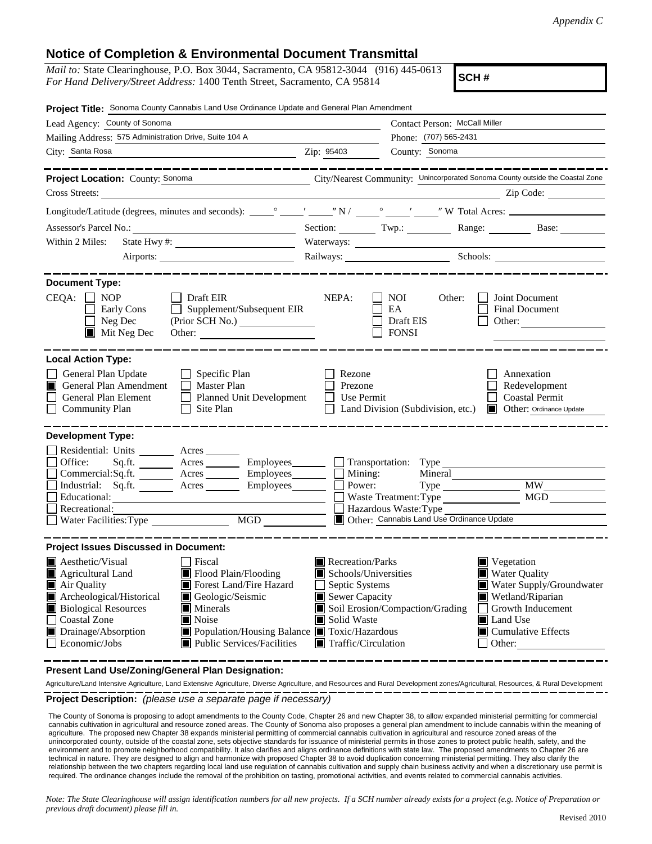## **Notice of Completion & Environmental Document Transmittal**

| <i>Mail to:</i> State Clearinghouse, P.O. Box 3044, Sacramento, CA 95812-3044 (916) 445-0613 |  |
|----------------------------------------------------------------------------------------------|--|
| <i>For Hand Delivery/Street Address:</i> 1400 Tenth Street, Sacramento, CA 95814             |  |

**SCH #**

| Project Title: Sonoma County Cannabis Land Use Ordinance Update and General Plan Amendment                                                                                                                                                                                                                                                                                                                                                                                                          |                                                                                                                                                                                                                                                                                                                                                                                |  |
|-----------------------------------------------------------------------------------------------------------------------------------------------------------------------------------------------------------------------------------------------------------------------------------------------------------------------------------------------------------------------------------------------------------------------------------------------------------------------------------------------------|--------------------------------------------------------------------------------------------------------------------------------------------------------------------------------------------------------------------------------------------------------------------------------------------------------------------------------------------------------------------------------|--|
| Lead Agency: County of Sonoma                                                                                                                                                                                                                                                                                                                                                                                                                                                                       | Contact Person: McCall Miller                                                                                                                                                                                                                                                                                                                                                  |  |
| Mailing Address: 575 Administration Drive, Suite 104 A                                                                                                                                                                                                                                                                                                                                                                                                                                              | Phone: (707) 565-2431                                                                                                                                                                                                                                                                                                                                                          |  |
| City: Santa Rosa<br>$\overline{\phantom{a}}$ $\overline{\phantom{a}}$ $\overline{\phantom{a}}$ $\overline{\phantom{a}}$ $\overline{\phantom{a}}$ $\overline{\phantom{a}}$ $\overline{\phantom{a}}$ $\overline{\phantom{a}}$ $\overline{\phantom{a}}$ $\overline{\phantom{a}}$ $\overline{\phantom{a}}$ $\overline{\phantom{a}}$ $\overline{\phantom{a}}$ $\overline{\phantom{a}}$ $\overline{\phantom{a}}$ $\overline{\phantom{a}}$ $\overline{\phantom{a}}$ $\overline{\phantom{a}}$ $\overline{\$ | County: Sonoma                                                                                                                                                                                                                                                                                                                                                                 |  |
| Project Location: County: Sonoma<br>Cross Streets:                                                                                                                                                                                                                                                                                                                                                                                                                                                  | City/Nearest Community: Unincorporated Sonoma County outside the Coastal Zone<br>Zip Code:                                                                                                                                                                                                                                                                                     |  |
|                                                                                                                                                                                                                                                                                                                                                                                                                                                                                                     |                                                                                                                                                                                                                                                                                                                                                                                |  |
|                                                                                                                                                                                                                                                                                                                                                                                                                                                                                                     |                                                                                                                                                                                                                                                                                                                                                                                |  |
|                                                                                                                                                                                                                                                                                                                                                                                                                                                                                                     | Section: Twp.: Twp.: Range: Base: Base:                                                                                                                                                                                                                                                                                                                                        |  |
| Within 2 Miles:                                                                                                                                                                                                                                                                                                                                                                                                                                                                                     | Waterways:                                                                                                                                                                                                                                                                                                                                                                     |  |
|                                                                                                                                                                                                                                                                                                                                                                                                                                                                                                     | Railways: Schools: Schools:                                                                                                                                                                                                                                                                                                                                                    |  |
| <b>Document Type:</b><br>$CEQA: \Box NP$<br>$\Box$ Draft EIR<br>$\Box$ Early Cons<br>$\Box$ Supplement/Subsequent EIR                                                                                                                                                                                                                                                                                                                                                                               | NEPA:<br>$\blacksquare$ NOI<br>Other:<br>Joint Document<br>$E_{\rm A}$<br><b>Final Document</b>                                                                                                                                                                                                                                                                                |  |
| $\Box$ Neg Dec<br>$\blacksquare$ Mit Neg Dec<br>Other:                                                                                                                                                                                                                                                                                                                                                                                                                                              | $\Box$ Draft EIS<br>Other:<br>$\Box$ FONSI                                                                                                                                                                                                                                                                                                                                     |  |
| <b>Local Action Type:</b>                                                                                                                                                                                                                                                                                                                                                                                                                                                                           |                                                                                                                                                                                                                                                                                                                                                                                |  |
| $\Box$ Specific Plan<br>General Plan Update<br>General Plan Amendment<br>$\Box$ Master Plan<br>General Plan Element<br>Planned Unit Development<br><b>Community Plan</b><br>$\Box$ Site Plan                                                                                                                                                                                                                                                                                                        | Rezone<br>Annexation<br>Prezone<br>Redevelopment<br>$\Box$ Use Permit<br>□ Coastal Permit<br>$\Box$ Land Division (Subdivision, etc.)<br><b>Other: Ordinance Update</b>                                                                                                                                                                                                        |  |
| <b>Development Type:</b>                                                                                                                                                                                                                                                                                                                                                                                                                                                                            |                                                                                                                                                                                                                                                                                                                                                                                |  |
| Residential: Units ________ Acres<br>Sq.ft. ________ Acres _________ Employees________ __ Transportation: Type _____<br>Office:<br>Commercial:Sq.ft. ________ Acres _________ Employees ________ $\Box$ Mining:<br>Industrial: Sq.ft. <u>Acres</u> Acres Employees<br>Educational:<br>Recreational:<br>MGD NG<br>Water Facilities: Type                                                                                                                                                             | Mineral<br><b>MW</b><br>Power:<br>$Type \_\_$<br>MGD<br>Waste Treatment: Type<br>Hazardous Waste: Type<br>Other: Cannabis Land Use Ordinance Update                                                                                                                                                                                                                            |  |
| <b>Project Issues Discussed in Document:</b>                                                                                                                                                                                                                                                                                                                                                                                                                                                        |                                                                                                                                                                                                                                                                                                                                                                                |  |
| Aesthetic/Visual<br>Fiscal<br>Agricultural Land<br>Flood Plain/Flooding<br>Forest Land/Fire Hazard<br>$\blacksquare$ Air Quality<br>Archeological/Historical<br>Geologic/Seismic<br><b>Biological Resources</b><br>$\blacksquare$ Minerals<br><b>Coastal Zone</b><br>Noise<br>Drainage/Absorption<br>Population/Housing Balance Toxic/Hazardous<br>Economic/Jobs<br>$\blacksquare$ Public Services/Facilities                                                                                       | Recreation/Parks<br>$\blacksquare$ Vegetation<br>Schools/Universities<br>■ Water Quality<br>Water Supply/Groundwater<br>Septic Systems<br>$\mathsf{L}$<br>Sewer Capacity<br>Wetland/Riparian<br>Soil Erosion/Compaction/Grading<br>Growth Inducement<br>$\blacksquare$<br>Solid Waste<br>Land Use<br>Cumulative Effects<br>$\blacksquare$ Traffic/Circulation<br>$\Box$ Other: |  |

**Present Land Use/Zoning/General Plan Designation:**

**Project Description:** *(please use a separate page if necessary)* Agriculture/Land Intensive Agriculture, Land Extensive Agriculture, Diverse Agriculture, and Resources and Rural Development zones/Agricultural, Resources, & Rural Development

 The County of Sonoma is proposing to adopt amendments to the County Code, Chapter 26 and new Chapter 38, to allow expanded ministerial permitting for commercial cannabis cultivation in agricultural and resource zoned areas. The County of Sonoma also proposes a general plan amendment to include cannabis within the meaning of agriculture. The proposed new Chapter 38 expands ministerial permitting of commercial cannabis cultivation in agricultural and resource zoned areas of the unincorporated county, outside of the coastal zone, sets objective standards for issuance of ministerial permits in those zones to protect public health, safety, and the environment and to promote neighborhood compatibility. It also clarifies and aligns ordinance definitions with state law. The proposed amendments to Chapter 26 are technical in nature. They are designed to align and harmonize with proposed Chapter 38 to avoid duplication concerning ministerial permitting. They also clarify the relationship between the two chapters regarding local land use regulation of cannabis cultivation and supply chain business activity and when a discretionary use permit is required. The ordinance changes include the removal of the prohibition on tasting, promotional activities, and events related to commercial cannabis activities.

*Note: The State Clearinghouse will assign identification numbers for all new projects. If a SCH number already exists for a project (e.g. Notice of Preparation or previous draft document) please fill in.*